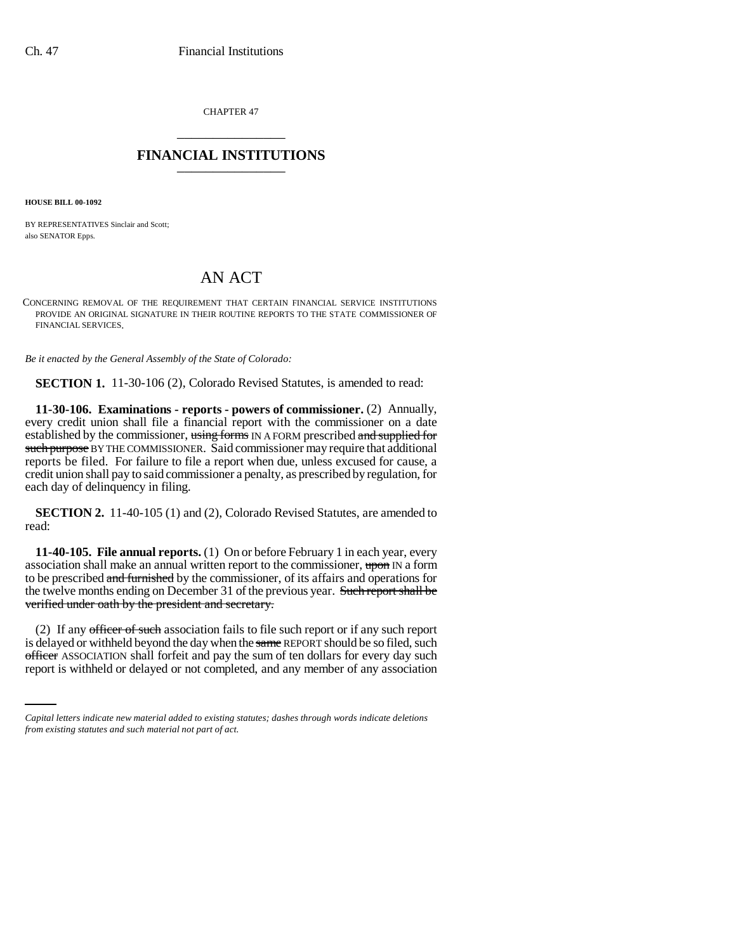CHAPTER 47 \_\_\_\_\_\_\_\_\_\_\_\_\_\_\_

## **FINANCIAL INSTITUTIONS** \_\_\_\_\_\_\_\_\_\_\_\_\_\_\_

**HOUSE BILL 00-1092** 

BY REPRESENTATIVES Sinclair and Scott; also SENATOR Epps.

## AN ACT

CONCERNING REMOVAL OF THE REQUIREMENT THAT CERTAIN FINANCIAL SERVICE INSTITUTIONS PROVIDE AN ORIGINAL SIGNATURE IN THEIR ROUTINE REPORTS TO THE STATE COMMISSIONER OF FINANCIAL SERVICES.

*Be it enacted by the General Assembly of the State of Colorado:*

**SECTION 1.** 11-30-106 (2), Colorado Revised Statutes, is amended to read:

**11-30-106. Examinations - reports - powers of commissioner.** (2) Annually, every credit union shall file a financial report with the commissioner on a date established by the commissioner, using forms IN A FORM prescribed and supplied for such purpose BY THE COMMISSIONER. Said commissioner may require that additional reports be filed. For failure to file a report when due, unless excused for cause, a credit union shall pay to said commissioner a penalty, as prescribed by regulation, for each day of delinquency in filing.

**SECTION 2.** 11-40-105 (1) and (2), Colorado Revised Statutes, are amended to read:

**11-40-105. File annual reports.** (1) On or before February 1 in each year, every association shall make an annual written report to the commissioner, upon IN a form to be prescribed and furnished by the commissioner, of its affairs and operations for the twelve months ending on December 31 of the previous year. Such report shall be verified under oath by the president and secretary.

is delayed or withheld beyond the day when the same REPORT should be so filed, such (2) If any officer of such association fails to file such report or if any such report officer ASSOCIATION shall forfeit and pay the sum of ten dollars for every day such report is withheld or delayed or not completed, and any member of any association

*Capital letters indicate new material added to existing statutes; dashes through words indicate deletions from existing statutes and such material not part of act.*